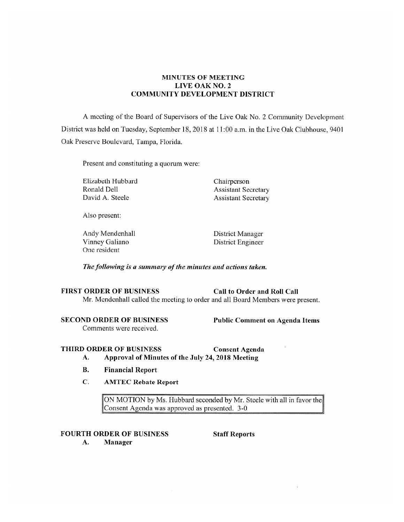# **MINUTES OF MEETING LIVE OAK NO. 2 COMMUNITY DEVELOPMENT DISTRICT**

A meeting of the Board of Supervisors of the Live Oak No. 2 Community Development District was held on Tuesday, September 18, 2018 at 11 :00 a.m. in the Live Oak Clubhouse, 9401 Oak Preserve Boulevard, Tampa, Florida.

Present and constituting a quorum were:

Elizabeth Hubbard<br>
Ronald Dell<br>
Assistant Sec David A. Steele Assistant Secretary

**Assistant Secretary** 

Also present:

Andy Mendenhall District Manager Vinney Galiano District Engineer One resident

*The following is a summary ofthe minutes and actions taken.* 

# FIRST ORDER OF BUSINESS Call to Order and Roll Call

Mr. Mendenhall called the meeting to order and all Board Members were present.

## **SECOND ORDER OF BUSINESS Public Comment on Agenda Items**

Comments were received.

**THIRD ORDER OF BUSINESS Consent Agenda** 

- **A. Approval of Minutes of the .July 24, 2018 Meeting**
- **B. Financial Report**
- **C. AMTEC Rebate Report**

ON MOTION by Ms. Hubbard seconded by Mr. Steele with all in favor the Consent Agenda was approved as presented. 3-0

# **FOURTH ORDER OF BUSINESS Staff Reports**

**A. Manager**